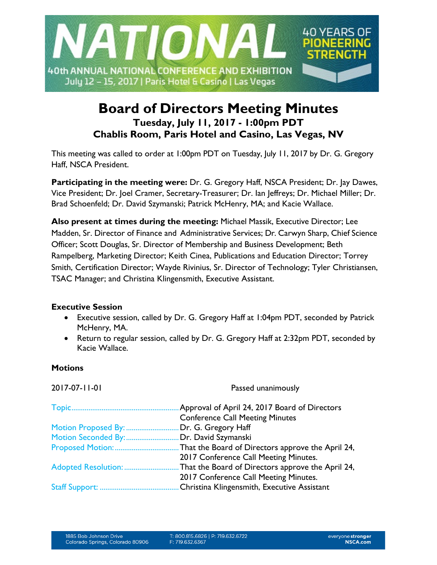

# **Board of Directors Meeting Minutes Tuesday, July 11, 2017 - 1:00pm PDT Chablis Room, Paris Hotel and Casino, Las Vegas, NV**

This meeting was called to order at 1:00pm PDT on Tuesday, July 11, 2017 by Dr. G. Gregory Haff, NSCA President.

**Participating in the meeting were:** Dr. G. Gregory Haff, NSCA President; Dr. Jay Dawes, Vice President; Dr. Joel Cramer, Secretary-Treasurer; Dr. Ian Jeffreys; Dr. Michael Miller; Dr. Brad Schoenfeld; Dr. David Szymanski; Patrick McHenry, MA; and Kacie Wallace.

**Also present at times during the meeting:** Michael Massik, Executive Director; Lee Madden, Sr. Director of Finance and Administrative Services; Dr. Carwyn Sharp, Chief Science Officer; Scott Douglas, Sr. Director of Membership and Business Development; Beth Rampelberg, Marketing Director; Keith Cinea, Publications and Education Director; Torrey Smith, Certification Director; Wayde Rivinius, Sr. Director of Technology; Tyler Christiansen, TSAC Manager; and Christina Klingensmith, Executive Assistant.

# **Executive Session**

- Executive session, called by Dr. G. Gregory Haff at 1:04pm PDT, seconded by Patrick McHenry, MA.
- Return to regular session, called by Dr. G. Gregory Haff at 2:32pm PDT, seconded by Kacie Wallace.

# **Motions**

| 2017-07-11-01            | Passed unanimously                                  |
|--------------------------|-----------------------------------------------------|
|                          | Approval of April 24, 2017 Board of Directors       |
|                          | <b>Conference Call Meeting Minutes</b>              |
| Motion Proposed By:      | .Dr. G. Gregory Haff                                |
| Motion Seconded By:      | "Dr. David Szymanski                                |
| <b>Proposed Motion: </b> | That the Board of Directors approve the April 24,   |
|                          | 2017 Conference Call Meeting Minutes.               |
| Adopted Resolution:      | . That the Board of Directors approve the April 24, |
|                          | 2017 Conference Call Meeting Minutes.               |
|                          | Christina Klingensmith, Executive Assistant         |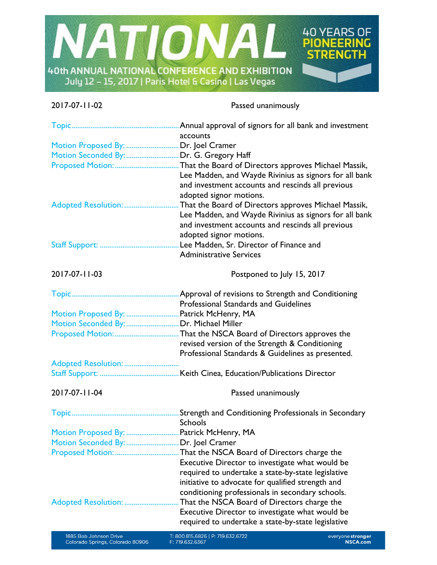

2017-07-11-02 Passed unanimously

|                                                                                  | Annual approval of signors for all bank and investment<br>accounts                                                                                                                                                        |
|----------------------------------------------------------------------------------|---------------------------------------------------------------------------------------------------------------------------------------------------------------------------------------------------------------------------|
| Motion Proposed By:  Dr. Joel Cramer<br>Motion Seconded By:  Dr. G. Gregory Haff | Lee Madden, and Wayde Rivinius as signors for all bank<br>and investment accounts and rescinds all previous                                                                                                               |
| Adopted Resolution:                                                              | adopted signor motions.<br>That the Board of Directors approves Michael Massik,<br>Lee Madden, and Wayde Rivinius as signors for all bank<br>and investment accounts and rescinds all previous<br>adopted signor motions. |
|                                                                                  | Lee Madden, Sr. Director of Finance and<br><b>Administrative Services</b>                                                                                                                                                 |
| 2017-07-11-03                                                                    | Postponed to July 15, 2017                                                                                                                                                                                                |
|                                                                                  | <b>Professional Standards and Guidelines</b>                                                                                                                                                                              |
| Motion Proposed By:  Patrick McHenry, MA                                         |                                                                                                                                                                                                                           |
| Motion Seconded By:  Dr. Michael Miller                                          |                                                                                                                                                                                                                           |
|                                                                                  | revised version of the Strength & Conditioning<br>Professional Standards & Guidelines as presented.                                                                                                                       |
| Adopted Resolution:                                                              |                                                                                                                                                                                                                           |
|                                                                                  |                                                                                                                                                                                                                           |
| 2017-07-11-04                                                                    | Passed unanimously                                                                                                                                                                                                        |
|                                                                                  | <b>Schools</b>                                                                                                                                                                                                            |
| Motion Proposed By:  Patrick McHenry, MA                                         |                                                                                                                                                                                                                           |
| Motion Seconded By:                                                              | Dr. Joel Cramer                                                                                                                                                                                                           |
|                                                                                  | That the NSCA Board of Directors charge the                                                                                                                                                                               |
|                                                                                  | Executive Director to investigate what would be<br>required to undertake a state-by-state legislative<br>initiative to advocate for qualified strength and<br>conditioning professionals in secondary schools.            |
| Adopted Resolution:                                                              | That the NSCA Board of Directors charge the<br>Executive Director to investigate what would be<br>required to undertake a state-by-state legislative                                                                      |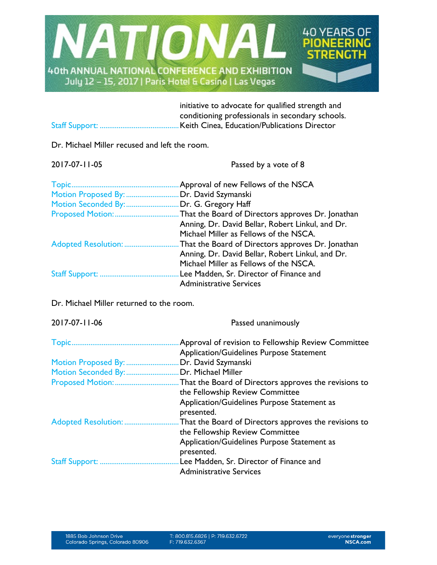

| initiative to advocate for qualified strength and |
|---------------------------------------------------|
| conditioning professionals in secondary schools.  |
|                                                   |

Dr. Michael Miller recused and left the room.

# 2017-07-11-05 Passed by a vote of 8

|                                         | Approval of new Fellows of the NSCA               |
|-----------------------------------------|---------------------------------------------------|
| Motion Proposed By: Dr. David Szymanski |                                                   |
| Motion Seconded By:                     | Dr. G. Gregory Haff                               |
|                                         | That the Board of Directors approves Dr. Jonathan |
|                                         | Anning, Dr. David Bellar, Robert Linkul, and Dr.  |
|                                         | Michael Miller as Fellows of the NSCA.            |
| Adopted Resolution:                     | That the Board of Directors approves Dr. Jonathan |
|                                         | Anning, Dr. David Bellar, Robert Linkul, and Dr.  |
|                                         | Michael Miller as Fellows of the NSCA.            |
|                                         | Lee Madden, Sr. Director of Finance and           |
|                                         | <b>Administrative Services</b>                    |

Dr. Michael Miller returned to the room.

| 2017-07-11-06       | Passed unanimously                                    |
|---------------------|-------------------------------------------------------|
|                     | Approval of revision to Fellowship Review Committee   |
|                     | <b>Application/Guidelines Purpose Statement</b>       |
| Motion Proposed By: | Dr. David Szymanski                                   |
| Motion Seconded By: | Dr. Michael Miller                                    |
| Proposed Motion:    | That the Board of Directors approves the revisions to |
|                     | the Fellowship Review Committee                       |
|                     | Application/Guidelines Purpose Statement as           |
|                     | presented.                                            |
| Adopted Resolution: | That the Board of Directors approves the revisions to |
|                     | the Fellowship Review Committee                       |
|                     | Application/Guidelines Purpose Statement as           |
|                     | presented.                                            |
|                     | Lee Madden, Sr. Director of Finance and               |
|                     | <b>Administrative Services</b>                        |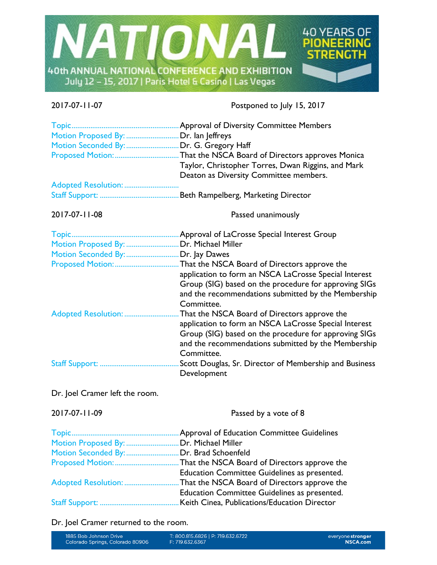

2017-07-11-07 Postponed to July 15, 2017

| Motion Proposed By:  Dr. lan Jeffreys<br>Motion Seconded By:  Dr. G. Gregory Haff | Approval of Diversity Committee Members<br>Taylor, Christopher Torres, Dwan Riggins, and Mark<br>Deaton as Diversity Committee members.                                             |
|-----------------------------------------------------------------------------------|-------------------------------------------------------------------------------------------------------------------------------------------------------------------------------------|
|                                                                                   |                                                                                                                                                                                     |
|                                                                                   |                                                                                                                                                                                     |
| 2017-07-11-08                                                                     | Passed unanimously                                                                                                                                                                  |
|                                                                                   |                                                                                                                                                                                     |
| Motion Proposed By:  Dr. Michael Miller                                           |                                                                                                                                                                                     |
| Motion Seconded By:  Dr. Jay Dawes                                                |                                                                                                                                                                                     |
|                                                                                   | application to form an NSCA LaCrosse Special Interest<br>Group (SIG) based on the procedure for approving SIGs<br>and the recommendations submitted by the Membership<br>Committee. |
|                                                                                   | application to form an NSCA LaCrosse Special Interest<br>Group (SIG) based on the procedure for approving SIGs<br>and the recommendations submitted by the Membership<br>Committee. |
|                                                                                   | Scott Douglas, Sr. Director of Membership and Business<br>Development                                                                                                               |

Dr. Joel Cramer left the room.

Passed by a vote of 8

|                     | Approval of Education Committee Guidelines     |
|---------------------|------------------------------------------------|
| Motion Proposed By: | Dr. Michael Miller                             |
| Motion Seconded By: | Dr. Brad Schoenfeld                            |
|                     | . That the NSCA Board of Directors approve the |
|                     | Education Committee Guidelines as presented.   |
|                     |                                                |
|                     | Education Committee Guidelines as presented.   |
|                     | Keith Cinea, Publications/Education Director   |

Dr. Joel Cramer returned to the room.